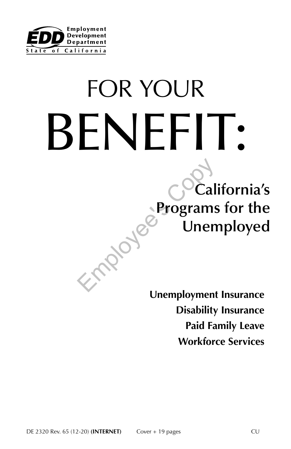

# FOR YOUR BENEFIT:

# **California's Programs for the Unemployed**

**Unemployment Insurance Disability Insurance Paid Family Leave Workforce Services**

Employe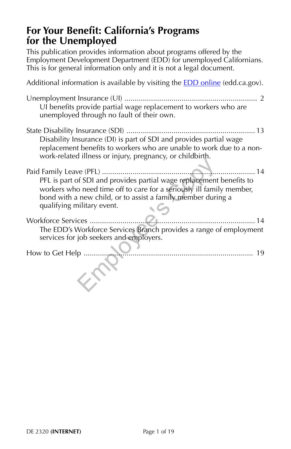## **For Your Benefit: California's Programs for the Unemployed**

This publication provides information about programs offered by the Employment Development Department (EDD) for unemployed Californians. This is for general information only and it is not a legal document.

Additional information is available by visiting the **EDD** online (edd.ca.gov). Unemployment Insurance (UI) ................................................................. 2 UI benefits provide partial wage replacement to workers who are unemployed through no fault of their own. State Disability Insurance (SDI) ............................................................... 13 Disability Insurance (DI) is part of SDI and provides partial wage replacement benefits to workers who are unable to work due to a nonwork-related illness or injury, pregnancy, or childbirth. Paid Family Leave (PFL) ........................................................................... 14 PFL is part of SDI and provides partial wage replacement benefits to workers who need time off to care for a seriously ill family member, bond with a new child, or to assist a family member during a qualifying military event. Workforce Services ................................................................................. 14 The EDD's Workforce Services Branch provides a range of employment services for job seekers and employers. How to Get Help ................................................................................... 19 Employee's Copy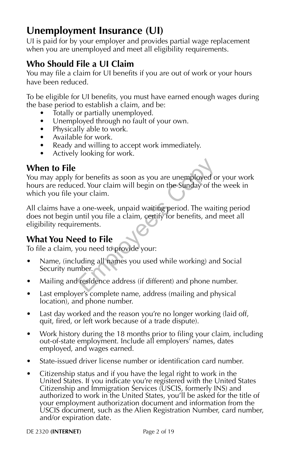## **Unemployment Insurance (UI)**

UI is paid for by your employer and provides partial wage replacement when you are unemployed and meet all eligibility requirements.

## **Who Should File a UI Claim**

You may file a claim for UI benefits if you are out of work or your hours have been reduced.

To be eligible for UI benefits, you must have earned enough wages during the base period to establish a claim, and be:

- Totally or partially unemployed.
- Unemployed through no fault of your own.
- Physically able to work.
- Available for work.
- Ready and willing to accept work immediately.
- Actively looking for work.

## **When to File**

You may apply for benefits as soon as you are unemployed or your work hours are reduced. Your claim will begin on the Sunday of the week in which you file your claim. or benefits as soon as you are unemployed of<br>ed. Your claim will begin on the Sunday of th<br>our claim.<br>a one-week, unpaid waiting period. The wait<br>until you file a claim, certify for benefits, and<br>ements.<br>**ed to File**<br>you n

All claims have a one-week, unpaid waiting period. The waiting period does not begin until you file a claim, certify for benefits, and meet all eligibility requirements.

## **What You Need to File**

To file a claim, you need to provide your:

- Name, (including all names you used while working) and Social Security number.
- Mailing and residence address (if different) and phone number.
- Last employer's complete name, address (mailing and physical location), and phone number.
- Last day worked and the reason you're no longer working (laid off, quit, fired, or left work because of a trade dispute).
- Work history during the 18 months prior to filing your claim, including out-of-state employment. Include all employers' names, dates employed, and wages earned.
- State-issued driver license number or identification card number.
- Citizenship status and if you have the legal right to work in the United States. If you indicate you're registered with the United States Citizenship and Immigration Services (USCIS, formerly INS) and authorized to work in the United States, you'll be asked for the title of your employment authorization document and information from the USCIS document, such as the Alien Registration Number, card number, and/or expiration date.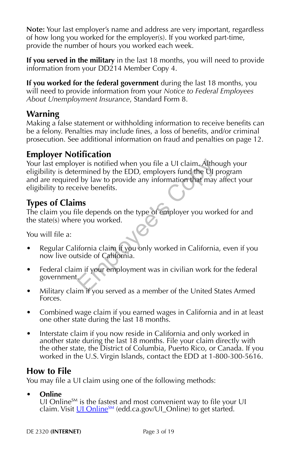**Note:** Your last employer's name and address are very important, regardless of how long you worked for the employer(s). If you worked part-time, provide the number of hours you worked each week.

**If you served in the military** in the last 18 months, you will need to provide information from your DD214 Member Copy 4.

**If you worked for the federal government** during the last 18 months, you will need to provide information from your *Notice to Federal Employees About Unemployment Insurance*, Standard Form 8.

## **Warning**

Making a false statement or withholding information to receive benefits can be a felony. Penalties may include fines, a loss of benefits, and/or criminal prosecution. See additional information on fraud and penalties on page 12.

## **Employer Notification**

Your last employer is notified when you file a UI claim. Although your eligibility is determined by the EDD, employers fund the UI program and are required by law to provide any information that may affect your eligibility to receive benefits. Framined by the EDD, employers fund the UI permined by the EDD, employers fund the UI permined by law to provide any information that may<br>give benefits.<br>**The depends on the type of employer you** work<br>if depends on the type

## **Types of Claims**

The claim you file depends on the type of employer you worked for and the state(s) where you worked.

You will file a:

- Regular California claim if you only worked in California, even if you now live outside of California.
- Federal claim if your employment was in civilian work for the federal government.
- Military claim if you served as a member of the United States Armed Forces.
- Combined wage claim if you earned wages in California and in at least one other state during the last 18 months.
- Interstate claim if you now reside in California and only worked in another state during the last 18 months. File your claim directly with the other state, the District of Columbia, Puerto Rico, or Canada. If you worked in the U.S. Virgin Islands, contact the EDD at 1-800-300-5616.

## **How to File**

You may file a UI claim using one of the following methods:

#### **• Online**

UI Online $S_M$  is the fastest and most convenient way to file your UI claim. Visit  $U1$  Online<sup>SM</sup> (edd.ca.gov/UI\_Online) to get started.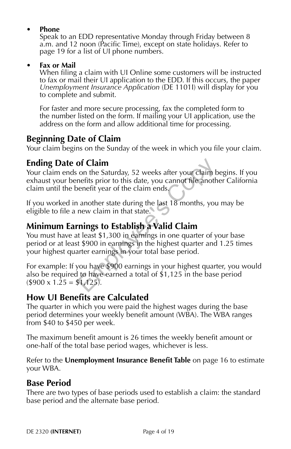#### **• Phone**

Speak to an EDD representative Monday through Friday between 8 a.m. and 12 noon (Pacific Time), except on state holidays. Refer to page 19 for a list of UI phone numbers.

#### **• Fax or Mail**

When filing a claim with UI Online some customers will be instructed to fax or mail their UI application to the EDD. If this occurs, the paper *Unemployment Insurance Application* (DE 1101I) will display for you to complete and submit.

For faster and more secure processing, fax the completed form to the number listed on the form. If mailing your UI application, use the address on the form and allow additional time for processing.

## **Beginning Date of Claim**

Your claim begins on the Sunday of the week in which you file your claim.

## **Ending Date of Claim**

Your claim ends on the Saturday, 52 weeks after your claim begins. If you exhaust your benefits prior to this date, you cannot file another California claim until the benefit year of the claim ends.

If you worked in another state during the last 18 months, you may be eligible to file a new claim in that state.

## **Minimum Earnings to Establish a Valid Claim**

You must have at least \$1,300 in earnings in one quarter of your base period or at least \$900 in earnings in the highest quarter and 1.25 times your highest quarter earnings in your total base period. **of Claim**<br>
on the Saturday, 52 weeks after your claim b<br>
nefits prior to this date, you cannot file anoth<br>
enerit year of the claim ends<br>
another state during the last 18 months, you<br>
new claim in that state.<br> **nings to E** 

For example: If you have \$900 earnings in your highest quarter, you would also be required to have earned a total of \$1,125 in the base period  $($900 \times 1.25 = $1,125).$ 

## **How UI Benefits are Calculated**

The quarter in which you were paid the highest wages during the base period determines your weekly benefit amount (WBA). The WBA ranges from \$40 to \$450 per week.

The maximum benefit amount is 26 times the weekly benefit amount or one-half of the total base period wages, whichever is less.

Refer to the **Unemployment Insurance Benefit Table** on page 16 to estimate your WBA.

## **Base Period**

There are two types of base periods used to establish a claim: the standard base period and the alternate base period.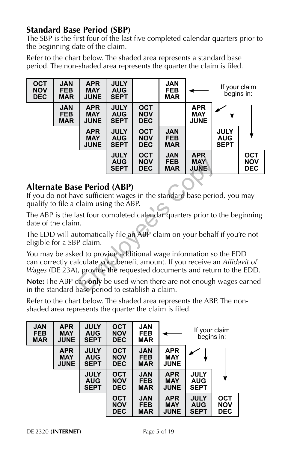## **Standard Base Period (SBP)**

The SBP is the first four of the last five completed calendar quarters prior to the beginning date of the claim.

Refer to the chart below. The shaded area represents a standard base period. The non-shaded area represents the quarter the claim is filed.

| <b>OCT</b><br><b>NOV</b><br><b>DEC</b> | <b>JAN</b><br><b>FEB</b><br><b>MAR</b> | <b>APR</b><br><b>MAY</b><br><b>JUNE</b> | <b>JULY</b><br><b>AUG</b><br><b>SEPT</b> |                                        | <b>JAN</b><br><b>FEB</b><br><b>MAR</b> |                                         | If your claim<br>begins in:              |                                        |
|----------------------------------------|----------------------------------------|-----------------------------------------|------------------------------------------|----------------------------------------|----------------------------------------|-----------------------------------------|------------------------------------------|----------------------------------------|
|                                        | <b>JAN</b><br><b>FEB</b><br><b>MAR</b> | <b>APR</b><br><b>MAY</b><br><b>JUNE</b> | <b>JULY</b><br><b>AUG</b><br><b>SEPT</b> | <b>OCT</b><br><b>NOV</b><br><b>DEC</b> |                                        | <b>APR</b><br><b>MAY</b><br><b>JUNE</b> |                                          |                                        |
|                                        |                                        | <b>APR</b><br><b>MAY</b><br><b>JUNE</b> | <b>JULY</b><br><b>AUG</b><br><b>SEPT</b> | <b>OCT</b><br><b>NOV</b><br><b>DEC</b> | <b>JAN</b><br><b>FEB</b><br><b>MAR</b> |                                         | <b>JULY</b><br><b>AUG</b><br><b>SEPT</b> |                                        |
|                                        |                                        |                                         | <b>JULY</b><br><b>AUG</b><br><b>SEPT</b> | <b>OCT</b><br><b>NOV</b><br><b>DEC</b> | <b>JAN</b><br><b>FEB</b><br><b>MAR</b> | <b>APR</b><br><b>MAY</b><br><b>JUNE</b> |                                          | <b>OCT</b><br><b>NOV</b><br><b>DEC</b> |

## **Alternate Base Period (ABP)**

If you do not have sufficient wages in the standard base period, you may qualify to file a claim using the ABP.

The ABP is the last four completed calendar quarters prior to the beginning date of the claim.

The EDD will automatically file an ABP claim on your behalf if you're not eligible for a SBP claim.

You may be asked to provide additional wage information so the EDD can correctly calculate your benefit amount. If you receive an *Affidavit of Wages* (DE 23A), provide the requested documents and return to the EDD. **AUG** NOV FEB MAY<br>
SEPT DEC MAR JUNE<br>
SEPT DEC MAR JUNE<br>
EPT DEC MAR JUNE<br>
Claim using the ABP.<br>
ast four completed calendar quarters prior to<br>
1.<br>
Intomatically file an ABP claim on your behalf<br>
P claim.<br>
ed to provide ad

**Note:** The ABP can **only** be used when there are not enough wages earned in the standard base period to establish a claim.

Refer to the chart below. The shaded area represents the ABP. The nonshaded area represents the quarter the claim is filed.

| <b>JAN</b><br><b>FEB</b><br><b>MAR</b> | <b>APR</b><br><b>MAY</b><br><b>JUNE</b> | <b>JULY</b><br><b>AUG</b><br><b>SEPT</b> | <b>OCT</b><br><b>NOV</b><br><b>DEC</b> | <b>JAN</b><br><b>FEB</b><br><b>MAR</b> |                                         |                                          | If your claim<br>begins in:            |
|----------------------------------------|-----------------------------------------|------------------------------------------|----------------------------------------|----------------------------------------|-----------------------------------------|------------------------------------------|----------------------------------------|
|                                        | <b>APR</b><br><b>MAY</b><br><b>JUNE</b> | <b>JULY</b><br><b>AUG</b><br><b>SEPT</b> | <b>OCT</b><br><b>NOV</b><br><b>DEC</b> | <b>JAN</b><br><b>FEB</b><br><b>MAR</b> | <b>APR</b><br><b>MAY</b><br><b>JUNE</b> |                                          |                                        |
|                                        |                                         | <b>JULY</b><br><b>AUG</b><br><b>SEPT</b> | <b>OCT</b><br><b>NOV</b><br><b>DEC</b> | <b>JAN</b><br><b>FEB</b><br><b>MAR</b> | <b>APR</b><br><b>MAY</b><br><b>JUNE</b> | <b>JULY</b><br><b>AUG</b><br><b>SEPT</b> |                                        |
|                                        |                                         |                                          | <b>OCT</b><br><b>NOV</b><br><b>DEC</b> | <b>JAN</b><br><b>FEB</b><br><b>MAR</b> | <b>APR</b><br><b>MAY</b><br><b>JUNE</b> | <b>JULY</b><br><b>AUG</b><br><b>SEPT</b> | <b>OCT</b><br><b>NOV</b><br><b>DEC</b> |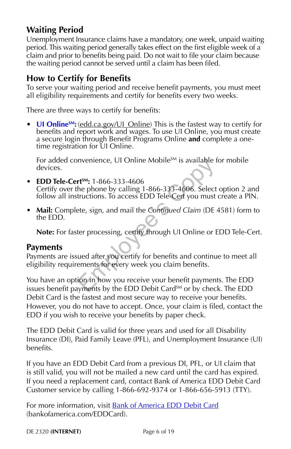## **Waiting Period**

Unemployment Insurance claims have a mandatory, one week, unpaid waiting period. This waiting period generally takes effect on the first eligible week of a claim and prior to benefits being paid. Do not wait to file your claim because the waiting period cannot be served until a claim has been filed.

## **How to Certify for Benefits**

To serve your waiting period and receive benefit payments, you must meet all eligibility requirements and certify for benefits every two weeks.

There are three ways to certify for benefits:

• **UI Online<sup>SM</sup>:** (edd.ca.gov/UI\_Online) This is the fastest way to certify for benefits and report work and wages. To use UI Online, you must create a secure login through Benefit Programs Online **and** complete a onetime registration for UI Online.

For added convenience, UI Online Mobile<sup>SM</sup> is available for mobile devices.

- **EDD Tele-CertSM:** 1-866-333-4606 Certify over the phone by calling 1-866-333-4606. Select option 2 and follow all instructions. To access EDD Tele-Cert you must create a PIN. mvenience, UI Online Mobile<sup>5M</sup> is available that<br> **rt<sup>5M</sup>:** 1-866-333-4606<br>
he phone by calling 1-866-333-4606. Select<br>
tructions. To access EDD Tele-Cert you must<br>
ete, sign, and mail the Continued Claim (DE<br>
ter process
- **Mail:** Complete, sign, and mail the *Continued Claim* (DE 4581) form to the EDD.

**Note:** For faster processing, certify through UI Online or EDD Tele-Cert.

#### **Payments**

Payments are issued after you certify for benefits and continue to meet all eligibility requirements for every week you claim benefits.

You have an option in how you receive your benefit payments. The EDD issues benefit payments by the EDD Debit Card<sup>SM</sup> or by check. The EDD Debit Card is the fastest and most secure way to receive your benefits. However, you do not have to accept. Once, your claim is filed, contact the EDD if you wish to receive your benefits by paper check.

The EDD Debit Card is valid for three years and used for all Disability Insurance (DI), Paid Family Leave (PFL), and Unemployment Insurance (UI) benefits.

If you have an EDD Debit Card from a previous DI, PFL, or UI claim that is still valid, you will not be mailed a new card until the card has expired. If you need a replacement card, contact Bank of America EDD Debit Card Customer service by calling 1-866-692-9374 or 1-866-656-5913 (TTY).

For more information, visit **Bank of America EDD Debit Card** (bankofamerica.com/EDDCard).

DE 2320 **(INTERNET)** Page 6 of 19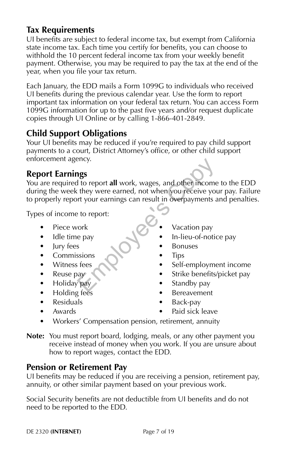## **Tax Requirements**

UI benefits are subject to federal income tax, but exempt from California state income tax. Each time you certify for benefits, you can choose to withhold the 10 percent federal income tax from your weekly benefit payment. Otherwise, you may be required to pay the tax at the end of the year, when you file your tax return.

Each January, the EDD mails a Form 1099G to individuals who received UI benefits during the previous calendar year. Use the form to report important tax information on your federal tax return. You can access Form 1099G information for up to the past five years and/or request duplicate copies through UI Online or by calling 1-866-401-2849.

## **Child Support Obligations**

Your UI benefits may be reduced if you're required to pay child support payments to a court, District Attorney's office, or other child support enforcement agency.

## **Report Earnings**

You are required to report **all** work, wages, and other income to the EDD during the week they were earned, not when you receive your pay. Failure to properly report your earnings can result in overpayments and penalties. Processors<br>
They were earned, not when you receive you<br>
They were earned, not when you receive you<br>
They were earned, not when you receive you<br>
They correct compared to report:<br>
They versions<br>
Subset of the Self-employme<br>

Types of income to report:

- Piece work
- Idle time pay
- Jury fees
- Commissions
- Witness fees
- Reuse pay
- Holiday pay
- Holding fees
- Residuals
- Awards
- Vacation pay
- In-lieu-of-notice pay
- **Bonuses**
- Tips
- Self-employment income
- Strike benefits/picket pay
- Standby pay
- **Bereavement**
- Back-pay
- Paid sick leave
- Workers' Compensation pension, retirement, annuity
- **Note:** You must report board, lodging, meals, or any other payment you receive instead of money when you work. If you are unsure about how to report wages, contact the EDD.

## **Pension or Retirement Pay**

UI benefits may be reduced if you are receiving a pension, retirement pay, annuity, or other similar payment based on your previous work.

Social Security benefits are not deductible from UI benefits and do not need to be reported to the EDD.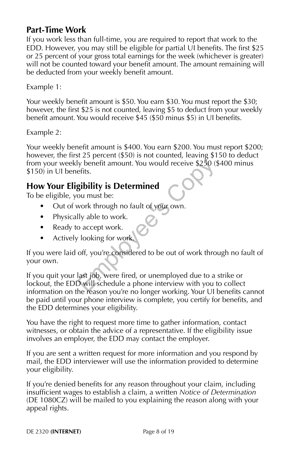## **Part-Time Work**

If you work less than full-time, you are required to report that work to the EDD. However, you may still be eligible for partial UI benefits. The first \$25 or 25 percent of your gross total earnings for the week (whichever is greater) will not be counted toward your benefit amount. The amount remaining will be deducted from your weekly benefit amount.

Example 1:

Your weekly benefit amount is \$50. You earn \$30. You must report the \$30; however, the first \$25 is not counted, leaving \$5 to deduct from your weekly benefit amount. You would receive \$45 (\$50 minus \$5) in UI benefits.

Example 2:

Your weekly benefit amount is \$400. You earn \$200. You must report \$200; however, the first 25 percent (\$50) is not counted, leaving \$150 to deduct from your weekly benefit amount. You would receive \$250 (\$400 minus \$150) in UI benefits.

## **How Your Eligibility is Determined**

To be eligible, you must be:

- Out of work through no fault of your own.
- Physically able to work.
- Ready to accept work.
- Actively looking for work.

If you were laid off, you're considered to be out of work through no fault of your own.

If you quit your last job, were fired, or unemployed due to a strike or lockout, the EDD will schedule a phone interview with you to collect information on the reason you're no longer working. Your UI benefits cannot be paid until your phone interview is complete, you certify for benefits, and the EDD determines your eligibility. Iy benefit amount. You would receive \$250 (gefits.<br> **gibility is Determined**<br>
ou must be:<br>
work through no fault of your own.<br>
Ily able to work.<br>
c accept work.<br>
c looking for work.<br>
off, you're considered to be out of wor

You have the right to request more time to gather information, contact witnesses, or obtain the advice of a representative. If the eligibility issue involves an employer, the EDD may contact the employer.

If you are sent a written request for more information and you respond by mail, the EDD interviewer will use the information provided to determine your eligibility.

If you're denied benefits for any reason throughout your claim, including insufficient wages to establish a claim, a written *Notice of Determination* (DE 1080CZ) will be mailed to you explaining the reason along with your appeal rights.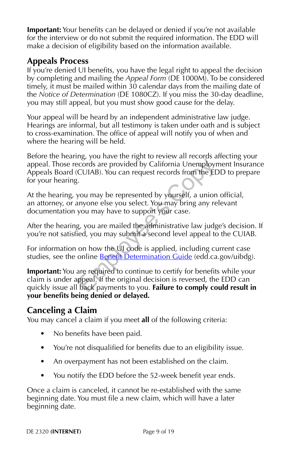**Important:** Your benefits can be delayed or denied if you're not available for the interview or do not submit the required information. The EDD will make a decision of eligibility based on the information available.

## **Appeals Process**

If you're denied UI benefits, you have the legal right to appeal the decision by completing and mailing the *Appeal Form* (DE 1000M). To be considered timely, it must be mailed within 30 calendar days from the mailing date of the *Notice of Determination* (DE 1080CZ). If you miss the 30-day deadline, you may still appeal, but you must show good cause for the delay.

Your appeal will be heard by an independent administrative law judge. Hearings are informal, but all testimony is taken under oath and is subject to cross-examination. The office of appeal will notify you of when and where the hearing will be held.

Before the hearing, you have the right to review all records affecting your appeal. Those records are provided by California Unemployment Insurance Appeals Board (CUIAB). You can request records from the EDD to prepare for your hearing. may, you are provided by California Unemployr<br>CUIAB). You can request records from the ED<br>i.<br>you may be represented by yourself, a union<br>inyone else you select. You may bring any re<br>you may have to support your case.<br>g, yo

At the hearing, you may be represented by yourself, a union official, an attorney, or anyone else you select. You may bring any relevant documentation you may have to support your case.

After the hearing, you are mailed the administrative law judge's decision. If you're not satisfied, you may submit a second level appeal to the CUIAB.

For information on how the UI code is applied, including current case studies, see the online **Benefit Determination Guide** (edd.ca.gov/uibdg).

**Important:** You are required to continue to certify for benefits while your claim is under appeal. If the original decision is reversed, the EDD can quickly issue all back payments to you. **Failure to comply could result in your benefits being denied or delayed.**

## **Canceling a Claim**

You may cancel a claim if you meet **all** of the following criteria:

- No benefits have been paid.
- You're not disqualified for benefits due to an eligibility issue.
- An overpayment has not been established on the claim.
- You notify the EDD before the 52-week benefit year ends.

Once a claim is canceled, it cannot be re-established with the same beginning date. You must file a new claim, which will have a later beginning date.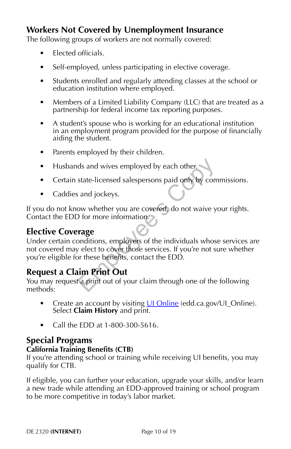## **Workers Not Covered by Unemployment Insurance**

The following groups of workers are not normally covered:

- Elected officials.
- Self-employed, unless participating in elective coverage.
- Students enrolled and regularly attending classes at the school or education institution where employed.
- Members of a Limited Liability Company (LLC) that are treated as a partnership for federal income tax reporting purposes.
- A student's spouse who is working for an educational institution in an employment program provided for the purpose of financially aiding the student.
- Parents employed by their children.
- Husbands and wives employed by each other.
- Certain state-licensed salespersons paid only by commissions.
- Caddies and jockeys.

If you do not know whether you are covered, do not waive your rights. Contact the EDD for more information.

## **Elective Coverage**

Under certain conditions, employers of the individuals whose services are not covered may elect to cover those services. If you're not sure whether you're eligible for these benefits, contact the EDD. ds and wives employed by each other.<br>
state-licensed salespersons paid only by com<br>
is and jockeys.<br>
ow whether you are covered, do not waive you<br>
for more information.<br> **Prage**<br>
onditions, employers of the individuals who

## **Request a Claim Print Out**

You may request a print out of your claim through one of the following methods:

- Create an account by visiting UI Online (edd.ca.gov/UI\_Online). Select **Claim History** and print.
- Call the EDD at 1-800-300-5616.

#### **Special Programs**

#### **California Training Benefits (CTB)**

If you're attending school or training while receiving UI benefits, you may qualify for CTB.

If eligible, you can further your education, upgrade your skills, and/or learn a new trade while attending an EDD-approved training or school program to be more competitive in today's labor market.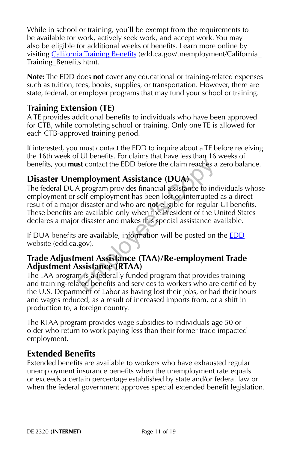While in school or training, you'll be exempt from the requirements to be available for work, actively seek work, and accept work. You may also be eligible for additional weeks of benefits. Learn more online by visiting California Training Benefits (edd.ca.gov/unemployment/California Training\_Benefits.htm).

**Note:** The EDD does **not** cover any educational or training-related expenses such as tuition, fees, books, supplies, or transportation. However, there are state, federal, or employer programs that may fund your school or training.

## **Training Extension (TE)**

A TE provides additional benefits to individuals who have been approved for CTB, while completing school or training. Only one TE is allowed for each CTB-approved training period.

If interested, you must contact the EDD to inquire about a TE before receiving the 16th week of UI benefits. For claims that have less than 16 weeks of benefits, you **must** contact the EDD before the claim reaches a zero balance.

## **Disaster Unemployment Assistance (DUA)**

The federal DUA program provides financial assistance to individuals whose employment or self-employment has been lost or interrupted as a direct result of a major disaster and who are **not** eligible for regular UI benefits. These benefits are available only when the President of the United States declares a major disaster and makes this special assistance available. ist contact the EDD before the claim reaches a<br> **mployment Assistance (DUA)**<br>
A program provides financial assistance to ind<br>
self-employment has been lost or interrupted<br>
r disaster and who are **not** eligible for regular<br>

If DUA benefits are available, information will be posted on the EDD website (edd.ca.gov).

#### **Trade Adjustment Assistance (TAA)/Re-employment Trade Adjustment Assistance (RTAA)**

The TAA program is a federally funded program that provides training and training-related benefits and services to workers who are certified by the U.S. Department of Labor as having lost their jobs, or had their hours and wages reduced, as a result of increased imports from, or a shift in production to, a foreign country.

The RTAA program provides wage subsidies to individuals age 50 or older who return to work paying less than their former trade impacted employment.

## **Extended Benefits**

Extended benefits are available to workers who have exhausted regular unemployment insurance benefits when the unemployment rate equals or exceeds a certain percentage established by state and/or federal law or when the federal government approves special extended benefit legislation.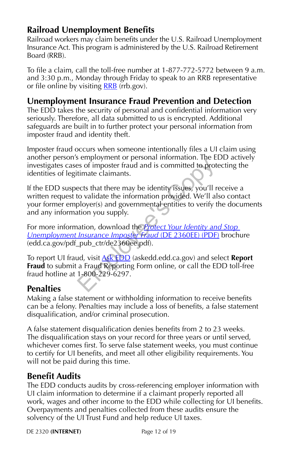## **Railroad Unemployment Benefits**

Railroad workers may claim benefits under the U.S. Railroad Unemployment Insurance Act. This program is administered by the U.S. Railroad Retirement Board (RRB).

To file a claim, call the toll-free number at 1-877-772-5772 between 9 a.m. and 3:30 p.m., Monday through Friday to speak to an RRB representative or file online by visiting **RRB** (rrb.gov).

## **Unemployment Insurance Fraud Prevention and Detection**

The EDD takes the security of personal and confidential information very seriously. Therefore, all data submitted to us is encrypted. Additional safeguards are built in to further protect your personal information from imposter fraud and identity theft.

Imposter fraud occurs when someone intentionally files a UI claim using another person's employment or personal information. The EDD actively investigates cases of imposter fraud and is committed to protecting the identities of legitimate claimants.

If the EDD suspects that there may be identity issues, you'll receive a written request to validate the information provided. We'll also contact your former employer(s) and governmental entities to verify the documents and any information you supply. Employment of personal information. The Less of imposter fraud and is committed to prottimate claimants.<br>
ects that there may be identity issues, you'll r<br>
to validate the information provided. We'll al<br>
ployer(s) and gove

For more information, download the *Protect Your Identity and Stop Unemployment Insurance Imposter Fraud* (DE 2360EE) (PDF) brochure (edd.ca.gov/pdf\_pub\_ctr/de2360ee.pdf).

To report UI fraud, visit Ask EDD (askedd.edd.ca.gov) and select **Report Fraud** to submit a Fraud Reporting Form online, or call the EDD toll-free fraud hotline at 1-800-229-6297.

## **Penalties**

Making a false statement or withholding information to receive benefits can be a felony. Penalties may include a loss of benefits, a false statement disqualification, and/or criminal prosecution.

A false statement disqualification denies benefits from 2 to 23 weeks. The disqualification stays on your record for three years or until served, whichever comes first. To serve false statement weeks, you must continue to certify for UI benefits, and meet all other eligibility requirements. You will not be paid during this time.

## **Benefit Audits**

The EDD conducts audits by cross-referencing employer information with UI claim information to determine if a claimant properly reported all work, wages and other income to the EDD while collecting for UI benefits. Overpayments and penalties collected from these audits ensure the solvency of the UI Trust Fund and help reduce UI taxes.

DE 2320 **(INTERNET)** Page 12 of 19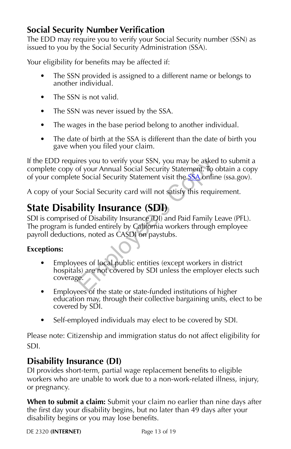## **Social Security Number Verification**

The EDD may require you to verify your Social Security number (SSN) as issued to you by the Social Security Administration (SSA).

Your eligibility for benefits may be affected if:

- The SSN provided is assigned to a different name or belongs to another individual.
- The SSN is not valid.
- The SSN was never issued by the SSA.
- The wages in the base period belong to another individual.
- The date of birth at the SSA is different than the date of birth you gave when you filed your claim.

If the EDD requires you to verify your SSN, you may be asked to submit a complete copy of your Annual Social Security Statement. To obtain a copy of your complete Social Security Statement visit the SSA online (ssa.gov).

A copy of your Social Security card will not satisfy this requirement.

## **State Disability Insurance (SDI)**

SDI is comprised of Disability Insurance (DI) and Paid Family Leave (PFL). The program is funded entirely by California workers through employee payroll deductions, noted as CASDI on paystubs.

#### **Exceptions:**

- Employees of local public entities (except workers in district hospitals) are not covered by SDI unless the employer elects such coverage. The syou to verify your SSN, you may be asked<br>of your Annual Social Security Statement. To c<br>e Social Security Statement visit the **SSA** onlin<br>Social Security card will not satisfy this requin<br>**illity Insurance (SDI)**<br>of D
- Employees of the state or state-funded institutions of higher education may, through their collective bargaining units, elect to be covered by SDI.
- Self-employed individuals may elect to be covered by SDI.

Please note: Citizenship and immigration status do not affect eligibility for SDI.

## **Disability Insurance (DI)**

DI provides short-term, partial wage replacement benefits to eligible workers who are unable to work due to a non-work-related illness, injury, or pregnancy.

**When to submit a claim:** Submit your claim no earlier than nine days after the first day your disability begins, but no later than 49 days after your disability begins or you may lose benefits.

DE 2320 **(INTERNET)** Page 13 of 19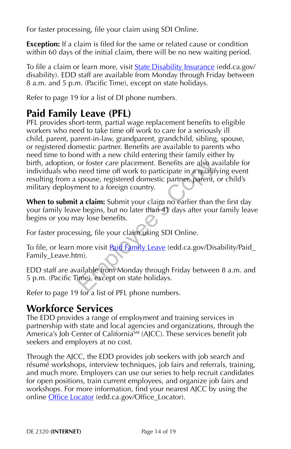For faster processing, file your claim using SDI Online.

**Exception:** If a claim is filed for the same or related cause or condition within 60 days of the initial claim, there will be no new waiting period.

To file a claim or learn more, visit **State Disability Insurance** (edd.ca.gov/ disability). EDD staff are available from Monday through Friday between 8 a.m. and 5 p.m. (Pacific Time), except on state holidays.

Refer to page 19 for a list of DI phone numbers.

## **Paid Family Leave (PFL)**

PFL provides short-term, partial wage replacement benefits to eligible workers who need to take time off work to care for a seriously ill child, parent, parent-in-law, grandparent, grandchild, sibling, spouse, or registered domestic partner. Benefits are available to parents who need time to bond with a new child entering their family either by birth, adoption, or foster care placement. Benefits are also available for individuals who need time off work to participate in a qualifying event resulting from a spouse, registered domestic partner, parent, or child's military deployment to a foreign country. or foster care placement. Benefits are also av<br>need time off work to participate in a qualify<br>spouse, registered domestic partner, parent, onent to a foreign country.<br>**Let a claim:** Submit your claim no earlier than the be

**When to submit a claim:** Submit your claim no earlier than the first day your family leave begins, but no later than 41 days after your family leave begins or you may lose benefits.

For faster processing, file your claim using SDI Online.

To file, or learn more visit **Paid Family Leave** (edd.ca.gov/Disability/Paid\_ Family Leave.htm).

EDD staff are available from Monday through Friday between 8 a.m. and 5 p.m. (Pacific Time), except on state holidays.

Refer to page 19 for a list of PFL phone numbers.

## **Workforce Services**

The EDD provides a range of employment and training services in partnership with state and local agencies and organizations, through the America's Job Center of California<sup>SM</sup> (AJCC). These services benefit job seekers and employers at no cost.

Through the AJCC, the EDD provides job seekers with job search and résumé workshops, interview techniques, job fairs and referrals, training, and much more. Employers can use our series to help recruit candidates for open positions, train current employees, and organize job fairs and workshops. For more information, find your nearest AJCC by using the online Office Locator (edd.ca.gov/Office\_Locator).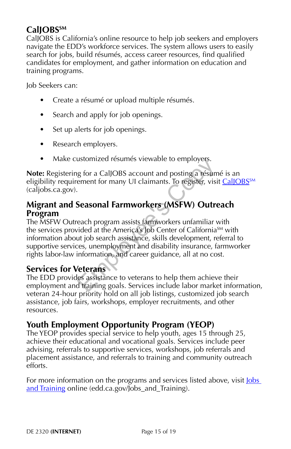## **CalJOBSSM**

CalJOBS is California's online resource to help job seekers and employers navigate the EDD's workforce services. The system allows users to easily search for jobs, build résumés, access career resources, find qualified candidates for employment, and gather information on education and training programs.

Job Seekers can:

- Create a résumé or upload multiple résumés.
- Search and apply for job openings.
- Set up alerts for job openings.
- Research employers.
- Make customized résumés viewable to employers.

**Note:** Registering for a CalJOBS account and posting a résumé is an eligibility requirement for many UI claimants. To register, visit CalJOBS<sup>SM</sup> (caljobs.ca.gov).

#### **Migrant and Seasonal Farmworkers (MSFW) Outreach Program**

The MSFW Outreach program assists farmworkers unfamiliar with the services provided at the America's Job Center of California<sup>SM</sup> with information about job search assistance, skills development, referral to supportive services, unemployment and disability insurance, farmworker rights labor-law information, and career guidance, all at no cost. ustomized resumes viewable to employers.<br>
g for a CalJOBS account and posting a résumement for many UI claimants. To register, vising<br> **Seasonal Farmworkers (MSFW) Outre**<br>
each program assists farmworkers unfamiliar vided

#### **Services for Veterans**

The EDD provides assistance to veterans to help them achieve their employment and training goals. Services include labor market information, veteran 24-hour priority hold on all job listings, customized job search assistance, job fairs, workshops, employer recruitments, and other resources.

## **Youth Employment Opportunity Program (YEOP)**

The YEOP provides special service to help youth, ages 15 through 25, achieve their educational and vocational goals. Services include peer advising, referrals to supportive services, workshops, job referrals and placement assistance, and referrals to training and community outreach efforts.

For more information on the programs and services listed above, visit <u>Jobs</u> and Training online (edd.ca.gov/Jobs\_and\_Training).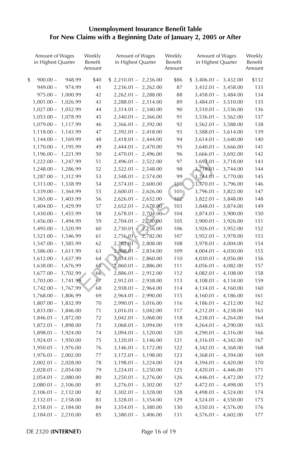# **Unemployment Insurance Benefit Table For New Claims with a Beginning Date of January 2, 2005 or After**

| Amount of Wages<br>in Highest Quarter | Weekly<br>Benefit<br>Amount | Amount of Wages<br>in Highest Quarter | Weekly<br>Benefit<br>Amount | Amount of Wages<br>in Highest Quarter | Weekly<br>Benefit<br>Amount |
|---------------------------------------|-----------------------------|---------------------------------------|-----------------------------|---------------------------------------|-----------------------------|
| \$<br>$900.00 -$<br>948.99            | \$40                        | $$2,210.01 - 2,236.00$                | \$86                        | $$3,406.01 - 3,432.00$                | \$132                       |
| $949.00 -$<br>974.99                  | 41                          | $2,236.01 - 2,262.00$                 | 87                          | $3,432.01 -$<br>3,458.00              | 133                         |
| $975.00 -$<br>1,000.99                | 42                          | $2,262.01 - 2,288.00$                 | 88                          | $3,458.01 -$<br>3,484.00              | 134                         |
| $1,001.00 -$<br>1,026.99              | 43                          | $2,288.01 - 2,314.00$                 | 89                          | 3,510.00<br>$3,484.01 -$              | 135                         |
| $1,027.00 -$<br>1,052.99              | 44                          | $2,314.01 - 2,340.00$                 | 90                          | 3,536.00<br>$3,510.01 -$              | 136                         |
| $1,053.00 -$<br>1,078.99              | 45                          | $2,340.01 - 2,366.00$                 | 91                          | 3,562.00<br>$3,536.01 -$              | 137                         |
| $1,079.00 -$<br>1,117.99              | 46                          | $2,366.01 - 2,392.00$                 | 92                          | $3,562.01 -$<br>3,588.00              | 138                         |
| $1,118.00 -$<br>1,143.99              | 47                          | $2,392.01 - 2,418.00$                 | 93                          | 3,614.00<br>$3,588.01 -$              | 139                         |
| $1,144.00 -$<br>1,169.99              | 48                          | $2,418.01 - 2,444.00$                 | 94                          | $3,614.01 -$<br>3,640.00              | 140                         |
| $1,170.00 -$<br>1,195.99              | 49                          | 2,444.01 - 2,470.00                   | 95                          | 3,666.00<br>$3,640.01 -$              | 141                         |
| $1,196.00 -$<br>1,221.99              | 50                          | $2,470.01 - 2,496.00$                 | 96                          | $3,666.01 -$<br>3,692.00              | 142                         |
| $1,222.00 -$<br>1,247.99              | 51                          | $2,496.01 - 2,522.00$                 | 97                          | $3,692.01 -$<br>3,718.00              | 143                         |
| $1,248.00 -$<br>1,286.99              | 52                          | $2,522.01 - 2,548.00$                 | 98                          | $3,718.01 -$<br>3,744.00              | 144                         |
| $1,287.00 -$<br>1,312.99              | 53                          | $2,548.01 - 2,574.00$                 | 99                          | $3,744.01 -$<br>3,770.00              | 145                         |
| $1,313.00 -$<br>1,338.99              | 54                          | $2,574.01 - 2,600.00$                 | 100                         | $3,770.01 -$<br>3,796.00              | 146                         |
| $1,339.00 -$<br>1,364.99              | 55                          | $2,600.01 - 2,626.00$                 | 101 <sup>°</sup>            | $3,796.01 -$<br>3,822.00              | 147                         |
| $1,365.00 -$<br>1,403.99              | 56                          | $2,626.01 - 2,652.00$                 | 102                         | $3,822.01 -$<br>3,848.00              | 148                         |
| $1,404.00 -$<br>1,429.99              | 57                          | $2,652.01 - 2,678.00$                 | 103                         | $3,848.01 -$<br>3,874.00              | 149                         |
| 1,455.99<br>$1,430.00 -$              | 58                          | $2,678.01 - 2,704.00$                 | 104                         | $3,874.01 -$<br>3,900.00              | 150                         |
| $1,456.00 -$<br>1,494.99              | 59                          | 2,730.00<br>$2,704.01 -$              | 105                         | 3,926.00<br>$3,900.01 -$              | 151                         |
| $1,495.00 -$<br>1,520.99              | 60                          | 2,756.00<br>$2,730.01 +$              | 106                         | $3,926.01 -$<br>3,952.00              | 152                         |
| $1,521.00 -$<br>1,546.99              | 61                          | 2,756.01 -<br>2,782.00                | 107                         | 3,978.00<br>$3,952.01 -$              | 153                         |
| $1,547.00 -$<br>1,585.99              | 62                          | $2,782.01 -$<br>2,808.00              | 108                         | 4,004.00<br>$3,978.01 -$              | 154                         |
| $1,586.00 -$<br>1,611.99              | 63                          | $2,808.01 -$<br>2,834.00              | 109                         | $4,004.01 -$<br>4,030.00              | 155                         |
| $1,612.00 -$<br>1,637.99              | 64                          | $2,834.01 -$<br>2,860.00              | 110                         | 4,056.00<br>$4,030.01 -$              | 156                         |
| $1,638.00 -$<br>1,676.99              | 65                          | $2,860.01 -$<br>2,886.00              | 111                         | 4,082.00<br>$4,056.01 -$              | 157                         |
| $1,677.00 -$<br>1,702.99              | 66                          | $2,886.01 - 2,912.00$                 | 112                         | 4,108.00<br>$4,082.01 -$              | 158                         |
| $1,703.00 -$<br>1,741.99              | 67                          | $2,912.01 -$<br>2,938.00              | 113                         | $4,108.01 -$<br>4,134.00              | 159                         |
| $1,742.00 -$<br>1,767.99              | 68                          | $2,938.01 - 2,964.00$                 | 114                         | 4,160.00<br>$4,134.01 -$              | 160                         |
| $1,768.00 -$<br>1,806.99              | 69                          | $2,964.01 -$<br>2,990.00              | 115                         | $4,160.01 -$<br>4,186.00              | 161                         |
| $1,807.00 -$<br>1,832.99              | 70                          | 3,016.00<br>2,990.01 –                | 116                         | 4,212.00<br>$4,186.01 -$              | 162                         |
| $1,833.00 -$<br>1,846.00              | 71                          | $3,016.01 -$<br>3,042.00              | 117                         | 4,238.00<br>$4,212.01 -$              | 163                         |
| 1,872.00<br>$1,846.01 -$              | 72                          | $3,042.01 -$<br>3,068.00              | 118                         | $4,238.01 -$<br>4,264.00              | 164                         |
| $1,872.01 -$<br>1,898.00              | 73                          | 3,094.00<br>$3,068.01 -$              | 119                         | 4,290.00<br>$4,264.01 -$              | 165                         |
| $1,898.01 -$<br>1,924.00              | 74                          | $3,094.01 - 3,120.00$                 | 120                         | 4,316.00<br>$4,290.01 -$              | 166                         |
| $1,924.01 -$<br>1,950.00              | 75                          | $3,120.01 - 3,146.00$                 | 121                         | $4,316.01 -$<br>4,342.00              | 167                         |
| 1,976.00<br>$1,950.01 -$              | 76                          | $3,146.01 - 3,172.00$                 | 122                         | $4,342.01 -$<br>4,368.00              | 168                         |
| $1,976.01 -$<br>2,002.00              | 77                          | $3,172.01 - 3,198.00$                 | 123                         | 4,394.00<br>$4,368.01 -$              | 169                         |
| 2,028.00<br>$2,002.01 -$              | 78                          | $3,198.01 - 3,224.00$                 | 124                         | $4,394.01 -$<br>4,420.00              | 170                         |
| 2,054.00<br>$2,028.01 -$              | 79                          | $3,224.01 - 3,250.00$                 | 125                         | 4,446.00<br>$4,420.01 -$              | 171                         |
| $2,054.01 -$<br>2,080.00              | 80                          | $3,250.01 - 3,276.00$                 | 126                         | $4,446.01 -$<br>4,472.00              | 172                         |
| 2,106.00<br>$2,080.01 -$              | 81                          | $3,276.01 - 3,302.00$                 | 127                         | $4,472.01 -$<br>4,498.00              | 173                         |
| $2,106.01 -$<br>2,132.00              | 82                          | $3,302.01 - 3,328.00$                 | 128                         | 4,524.00<br>$4,498.01 -$              | 174                         |
| $2,132.01 - 2,158.00$                 | 83                          | $3,328.01 - 3,354.00$                 | 129                         | $4,524.01 -$<br>4,550.00              | 175                         |
| $2,158.01 - 2,184.00$                 | 84                          | $3,354.01 - 3,380.00$                 | 130                         | $4,550.01 -$<br>4,576.00              | 176                         |
| $2,184.01 - 2,210.00$                 | 85                          | $3,380.01 - 3,406.00$                 | 131                         | $4,576.01 - 4,602.00$                 | 177                         |

DE 2320 **(INTERNET)** Page 16 of 19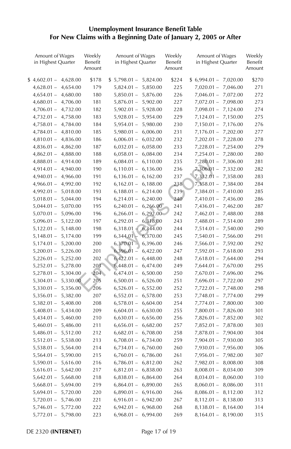# **Unemployment Insurance Benefit Table For New Claims with a Beginning Date of January 2, 2005 or After**

| Amount of Wages<br>in Highest Quarter | Weekly<br>Benefit<br>Amount | Amount of Wages<br>in Highest Quarter | Weekly<br>Benefit<br>Amount | Amount of Wages<br>in Highest Quarter | Weekly<br>Benefit<br>Amount |
|---------------------------------------|-----------------------------|---------------------------------------|-----------------------------|---------------------------------------|-----------------------------|
| $$4,602.01-$<br>4,628.00              | \$178                       | $$5,798.01 - 5,824.00$                | \$224                       | $$6,994.01-$<br>7,020.00              | \$270                       |
| 4,654.00<br>$4,628.01 -$              | 179                         | $5,824.01 -$<br>5,850.00              | 225                         | $7,020.01 -$<br>7,046.00              | 271                         |
| $4,654.01 -$<br>4,680.00              | 180                         | $5,850.01 -$<br>5,876.00              | 226                         | 7,072.00<br>$7,046.01 -$              | 272                         |
| $4,680.01 -$<br>4,706.00              | 181                         | $5,876.01 - 5,902.00$                 | 227                         | $7,072.01 -$<br>7,098.00              | 273                         |
| $4,706.01 -$<br>4,732.00              | 182                         | $5,902.01 -$<br>5,928.00              | 228                         | $7,098.01 -$<br>7,124.00              | 274                         |
| $4,732.01 -$<br>4,758.00              | 183                         | 5,954.00<br>$5,928.01 -$              | 229                         | $7,124.01 -$<br>7,150.00              | 275                         |
| $4,758.01 -$<br>4,784.00              | 184                         | $5,954.01 -$<br>5,980.00              | 230                         | $7,150.01 -$<br>7,176.00              | 276                         |
| $4,784.01 -$<br>4,810.00              | 185                         | $5,980.01 -$<br>6,006.00              | 231                         | 7,202.00<br>$7,176.01 -$              | 277                         |
| $4,810.01 -$<br>4,836.00              | 186                         | $6,006.01 -$<br>6,032.00              | 232                         | 7,228.00<br>$7,202.01 -$              | 278                         |
| $4,836.01 -$<br>4,862.00              | 187                         | $6,032.01 -$<br>6,058.00              | 233                         | 7,254.00<br>$7,228.01 -$              | 279                         |
| $4,862.01 -$<br>4,888.00              | 188                         | $6,058.01 -$<br>6,084.00              | 234                         | $7,254.01 -$<br>7,280.00              | 280                         |
| 4,914.00<br>$4,888.01 -$              | 189                         | $6,084.01 -$<br>6,110.00              | 235                         | $7,280.01 -$<br>7,306.00              | 281                         |
| $4,914.01 -$<br>4,940.00              | 190                         | $6,110.01 -$<br>6,136.00              | 236                         | $7,306.01 -$<br>7,332.00              | 282                         |
| $4,940.01 -$<br>4,966.00              | 191                         | $6,136.01 -$<br>6,162.00              | 237                         | $7,332.01 -$<br>7,358.00              | 283                         |
| $4,966.01 -$<br>4,992.00              | 192                         | $6,162.01 -$<br>6,188.00              | 238                         | $7,358.01 -$<br>7,384.00              | 284                         |
| 5,018.00<br>$4,992.01 -$              | 193                         | $6,188.01 -$<br>6,214.00              | 239                         | $7,384.01 -$<br>7,410.00              | 285                         |
| $5,018.01 -$<br>5,044.00              | 194                         | $6,214.01 -$<br>6,240.00              | 240                         | $7,410.01 -$<br>7,436.00              | 286                         |
| $5,044.01 -$<br>5,070.00              | 195                         | $6,240.01 -$<br>6,266.00              | 241                         | $7,436.01 -$<br>7,462.00              | 287                         |
| $5,070.01 -$<br>5,096.00              | 196                         | 6,292.00<br>$6,266.01 -$              | 242                         | $7,462.01 -$<br>7,488.00              | 288                         |
| $5,096.01 -$<br>5,122.00              | 197                         | $6,292.01 -$<br>6,318.00              | 243                         | $7,488.01 -$<br>7,514.00              | 289                         |
| $5,122.01 -$<br>5,148.00              | 198                         | $6,318.01 +$<br>6,344.00              | 244                         | $7,514.01 -$<br>7,540.00              | 290                         |
| $5,148.01 -$<br>5,174.00              | 199                         | 6,344.01<br>6,370.00                  | 245                         | 7,566.00<br>$7,540.01 -$              | 291                         |
| $5,174.01 -$<br>5,200.00              | 200                         | $6,370.01 -$<br>6,396.00              | 246                         | $7,566.01 -$<br>7,592.00              | 292                         |
| $5,200.01 -$<br>5,226.00              | 201                         | $6,396.01 -$<br>6,422.00              | 247                         | $7,592.01 -$<br>7,618.00              | 293                         |
| 5,252.00<br>$5,226.01 -$              | 202                         | $6,422.01 -$<br>6,448.00              | 248                         | $7,618.01 -$<br>7,644.00              | 294                         |
| $5,252.01 -$<br>5,278.00              | 203                         | $6,448.01 -$<br>6,474.00              | 249                         | $7,644.01 -$<br>7,670.00              | 295                         |
| $5,278.01 -$<br>5,304.00              | 204                         | $6,474.01 -$<br>6,500.00              | 250                         | $7,670.01 -$<br>7,696.00              | 296                         |
| 5,330.00<br>$5,304.01 -$              | 205                         | $6,500.01 -$<br>6,526.00              | 251                         | $7,696.01 -$<br>7,722.00              | 297                         |
| $5,330.01 -$<br>5,356.00              | 206                         | 6,552.00<br>$6,526.01 -$              | 252                         | 7,748.00<br>$7,722.01 -$              | 298                         |
| $5,356.01 -$<br>5,382.00              | 207                         | $6,552.01 -$<br>6,578.00              | 253                         | 7,774.00<br>$7,748.01 -$              | 299                         |
| $5,382.01 -$<br>5,408.00              | 208                         | $6,578.01 -$<br>6,604.00              | 254                         | $7,774.01 -$<br>7,800.00              | 300                         |
| $5,408.01 -$<br>5,434.00              | 209                         | 6,630.00<br>$6,604.01 -$              | 255                         | 7,826.00<br>$7,800.01 -$              | 301                         |
| $5,434.01 -$<br>5,460.00              | 210                         | $6,630.01 -$<br>6,656.00              | 256                         | $7,826.01 -$<br>7,852.00              | 302                         |
| $5,460.01 -$<br>5,486.00              | 211                         | $6,656.01 -$<br>6,682.00              | 257                         | $7,852.01 -$<br>7,878.00              | 303                         |
| 5,512.00<br>$5,486.01 -$              | 212                         | $6,682.01 -$<br>6,708.00              | 258                         | 7,904.00<br>$7,878.01 -$              | 304                         |
| $5,512.01 -$<br>5,538.00              | 213                         | $6,708.01 -$<br>6,734.00              | 259                         | 7,930.00<br>$7,904.01 -$              | 305                         |
| $5,538.01 -$<br>5,564.00              | 214                         | $6,734.01 -$<br>6,760.00              | 260                         | $7,930.01 -$<br>7,956.00              | 306                         |
| 5,590.00<br>$5,564.01 -$              | 215                         | $6,760.01 -$<br>6,786.00              | 261                         | 7,982.00<br>$7,956.01 -$              | 307                         |
| $5,590.01 -$<br>5,616.00              | 216                         | 6,812.00<br>6,786.01 –                | 262                         | 8,008.00<br>$7,982.01 -$              | 308                         |
| $5,616.01 -$<br>5,642.00              | 217                         | $6,812.01 -$<br>6,838.00              | 263                         | $8,008.01 -$<br>8,034.00              | 309                         |
| $5,642.01 -$<br>5,668.00              | 218                         | $6,838.01 -$<br>6,864.00              | 264                         | $8,034.01 -$<br>8,060.00              | 310                         |
| $5,668.01 -$<br>5,694.00              | 219                         | $6,864.01 -$<br>6,890.00              | 265                         | 8,086.00<br>$8,060.01 -$              | 311                         |
| $5,694.01 -$<br>5,720.00              | 220                         | $6,890.01 -$<br>6,916.00              | 266                         | $8,086.01 -$<br>8,112.00              | 312                         |
| $5,720.01 -$<br>5,746.00              | 221                         | $6,916.01 -$<br>6,942.00              | 267                         | $8,112.01 -$<br>8,138.00              | 313                         |
| 5,772.00<br>$5,746.01 -$              | 222                         | 6,968.00<br>6,942.01 –                | 268                         | $8,138.01 -$<br>8,164.00              | 314                         |
| 5,798.00<br>$5,772.01 -$              | 223                         | 6,994.00<br>$6,968.01 -$              | 269                         | 8,190.00<br>$8,164.01 -$              | 315                         |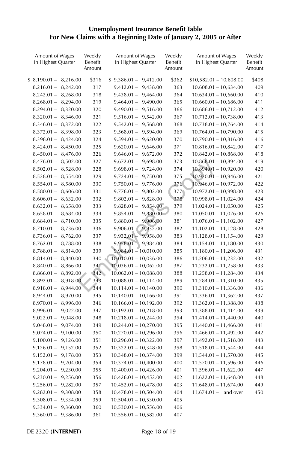# **Unemployment Insurance Benefit Table For New Claims with a Beginning Date of January 2, 2005 or After**

| Amount of Wages<br>in Highest Quarter | Weekly<br>Benefit<br>Amount | Amount of Wages<br>in Highest Quarter | Weekly<br>Benefit<br>Amount | Amount of Wages<br>in Highest Quarter | Weekly<br>Benefit<br>Amount |
|---------------------------------------|-----------------------------|---------------------------------------|-----------------------------|---------------------------------------|-----------------------------|
| $$8,190.01-$<br>8,216.00              | \$316                       | $$9,386.01 - 9,412.00$                | \$362                       | $$10,582.01 - 10,608.00$              | \$408                       |
| 8,242.00<br>$8,216.01 -$              | 317                         | $9,412.01 -$<br>9,438.00              | 363                         | $10,608.01 - 10,634.00$               | 409                         |
| $8,242.01 -$<br>8,268.00              | 318                         | $9,438.01 - 9,464.00$                 | 364                         | $10,634.01 - 10,660.00$               | 410                         |
| 8,294.00<br>$8,268.01 -$              | 319                         | $9,464.01 - 9,490.00$                 | 365                         | $10,660.01 - 10,686.00$               | 411                         |
| $8,294.01 -$<br>8,320.00              | 320                         | $9,490.01 - 9,516.00$                 | 366                         | $10,686.01 - 10,712.00$               | 412                         |
| $8,320.01 -$<br>8,346.00              | 321                         | $9,516.01 - 9,542.00$                 | 367                         | $10,712.01 - 10,738.00$               | 413                         |
| $8,346.01 -$<br>8,372.00              | 322                         | $9,542.01 -$<br>9,568.00              | 368                         | $10,738.01 - 10,764.00$               | 414                         |
| $8,372.01 -$<br>8,398.00              | 323                         | $9,568.01 - 9,594.00$                 | 369                         | $10,764.01 - 10,790.00$               | 415                         |
| $8,398.01 -$<br>8,424.00              | 324                         | $9,594.01 -$<br>9,620.00              | 370                         | 10,790.01 - 10,816.00                 | 416                         |
| $8,424.01 -$<br>8,450.00              | 325                         | $9,620.01 - 9,646.00$                 | 371                         | $10,816.01 - 10,842.00$               | 417                         |
| $8,450.01 -$<br>8,476.00              | 326                         | $9,646.01 - 9,672.00$                 | 372                         | $10,842.01 - 10,868.00$               | 418                         |
| $8,476.01 -$<br>8,502.00              | 327                         | $9,672.01 - 9,698.00$                 | 373                         | $10,868.01 - 10,894.00$               | 419                         |
| $8,502.01 -$<br>8,528.00              | 328                         | $9,698.01 - 9,724.00$                 | 374                         | $10,894.01 - 10,920.00$               | 420                         |
| 8,554.00<br>$8,528.01 -$              | 329                         | $9,724.01 - 9,750.00$                 | 375                         | $10,920.01 - 10,946.00$               | 421                         |
| $8,554.01 -$<br>8,580.00              | 330                         | $9,750.01 - 9,776.00$                 | 376                         | $10,946.01 - 10,972.00$               | 422                         |
| $8,580.01 -$<br>8,606.00              | 331                         | $9,776.01 - 9,802.00$                 | 3771                        | 10,972.01 - 10,998.00                 | 423                         |
| 8,632.00<br>$8,606.01 -$              | 332                         | $9,802.01 -$<br>9,828.00              | 378                         | $10,998.01 - 11,024.00$               | 424                         |
| $8,632.01 -$<br>8,658.00              | 333                         | 9,854.00<br>$9,828.01 -$              | 379                         | $11,024.01 - 11,050.00$               | 425                         |
| $8,658.01 -$<br>8,684.00              | 334                         | 9,880.00<br>$9,854.01 -$              | 380                         | $11,050.01 - 11,076.00$               | 426                         |
| $8,684.01 -$<br>8,710.00              | 335                         | $9,880.01 -$<br>9,906.00              | 381                         | $11,076.01 - 11,102.00$               | 427                         |
| $8,710.01 -$<br>8,736.00              | 336                         | $9,906.01 -$<br>9,932.00              | 382                         | $11,102.01 - 11,128.00$               | 428                         |
| $8,736.01 -$<br>8,762.00              | 337                         | 9,932.01<br>9,958.00                  | 383                         | $11,128.01 - 11,154.00$               | 429                         |
| $8,762.01 -$<br>8,788.00              | 338                         | $9,958.01 -$<br>9,984.00              | 384                         | 11,154.01 - 11,180.00                 | 430                         |
| $8,788.01 -$<br>8,814.00              | 339                         | $9,984.01 - 10,010.00$                | 385                         | 11,180.01 - 11,206.00                 | 431                         |
| $8,814.01 -$<br>8,840.00              | 340                         | $10,010.01 - 10,036.00$               | 386                         | $11,206.01 - 11,232.00$               | 432                         |
| $8,840.01 -$<br>8,866.00              | 341                         | $10,036.01 - 10,062.00$               | 387                         | $11,232.01 - 11,258.00$               | 433                         |
| $8,866.01 -$<br>8,892.00              | 342                         | $10,062.01 - 10,088.00$               | 388                         | $11,258.01 - 11,284.00$               | 434                         |
| $8,892.01 -$<br>8,918.00              | 343                         | $10,088.01 - 10,114.00$               | 389                         | 11,284.01 - 11,310.00                 | 435                         |
| $8,918.01 -$<br>8,944.00              | 344                         | $10,114.01 - 10,140.00$               | 390                         | 11,310.01 - 11,336.00                 | 436                         |
| 8,970.00<br>$8,944.01 -$              | 345                         | $10,140.01 - 10,166.00$               | 391                         | 11,336.01 - 11,362.00                 | 437                         |
| $8,970.01 -$<br>8,996.00              | 346                         | $10,166.01 - 10,192.00$               | 392                         | $11,362.01 - 11,388.00$               | 438                         |
| $8,996.01 -$<br>9,022.00              | 347                         | $10,192.01 - 10,218.00$               | 393                         | $11,388.01 - 11,414.00$               | 439                         |
| $9,022.01 -$<br>9,048.00              | 348                         | $10,218.01 - 10,244.00$               | 394                         | 11,414.01 - 11,440.00                 | 440                         |
| 9,074.00<br>$9,048.01 -$              | 349                         | $10,244.01 - 10,270.00$               | 395                         | $11,440.01 - 11,466.00$               | 441                         |
| $9,074.01 -$<br>9,100.00              | 350                         | $10,270.01 - 10,296.00$               | 396                         | $11,466.01 - 11,492.00$               | 442                         |
| $9,100.01 -$<br>9,126.00              | 351                         | $10,296.01 - 10,322.00$               | 397                         | 11,492.01 - 11,518.00                 | 443                         |
| $9,126.01 -$<br>9,152.00              | 352                         | $10,322.01 - 10,348.00$               | 398                         | $11,518.01 - 11,544.00$               | 444                         |
| $9,152.01 -$<br>9,178.00              | 353                         | $10,348.01 - 10,374.00$               | 399                         | $11,544.01 - 11,570.00$               | 445                         |
| 9,204.00<br>$9,178.01 -$              | 354                         | $10,374.01 - 10,400.00$               | 400                         | 11,570.01 - 11,596.00                 | 446                         |
| $9,204.01 -$<br>9,230.00              | 355                         | $10,400.01 - 10,426.00$               | 401                         | $11,596.01 - 11,622.00$               | 447                         |
| $9,230.01 -$<br>9,256.00              | 356                         | $10,426.01 - 10,452.00$               | 402                         | $11,622.01 - 11,648.00$               | 448                         |
| $9,256.01 -$<br>9,282.00              | 357                         | $10,452.01 - 10,478.00$               | 403                         | $11,648.01 - 11,674.00$               | 449                         |
| $9,282.01 -$<br>9,308.00              | 358                         | $10,478.01 - 10,504.00$               | 404                         | $11,674.01 -$<br>and over             | 450                         |
| $9,308.01 -$<br>9,334.00              | 359                         | $10,504.01 - 10,530.00$               | 405                         |                                       |                             |
| $9,334.01 -$<br>9,360.00              | 360                         | 10,530.01 - 10,556.00                 | 406                         |                                       |                             |
| 9,386.00<br>$9,360.01 -$              | 361                         | $10,556.01 - 10,582.00$               | 407                         |                                       |                             |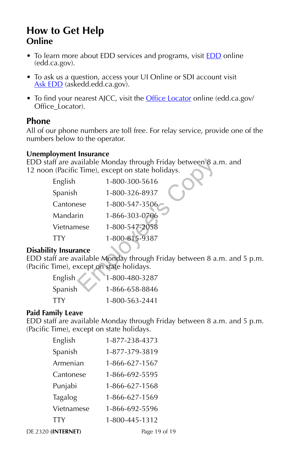## **How to Get Help Online**

- To learn more about EDD services and programs, visit **EDD** online (edd.ca.gov).
- To ask us a question, access your UI Online or SDI account visit Ask EDD (askedd.edd.ca.gov).
- To find your nearest AJCC, visit the Office Locator online (edd.ca.gov/ Office\_Locator).

#### **Phone**

All of our phone numbers are toll free. For relay service, provide one of the numbers below to the operator.

#### **Unemployment Insurance**

EDD staff are available Monday through Friday between 8 a.m. and 12 noon (Pacific Time), except on state holidays.

|              | aff are available Monday through Friday between 8 a.<br>n (Pacific Time), except on state holidays. |
|--------------|-----------------------------------------------------------------------------------------------------|
| English      | 1-800-300-5616                                                                                      |
| Spanish      | 1-800-326-8937                                                                                      |
| Cantonese    | 1-800-547-3506                                                                                      |
| Mandarin     | 1-866-303-0706                                                                                      |
| Vietnamese   | 1-800-547-2058                                                                                      |
| <b>TTY</b>   | 1-800-815-9387                                                                                      |
| ty Insurance |                                                                                                     |
|              | aff are available Monday through Friday between 8 a.                                                |
|              | Time), except on state holidays.                                                                    |
| English      | 1-800-480-3287                                                                                      |
| Spanish      | 1-866-658-8846                                                                                      |

#### **Disability Insurance**

EDD staff are available Monday through Friday between 8 a.m. and 5 p.m. (Pacific Time), except on state holidays.

| English    | 1-800-480-3287 |
|------------|----------------|
| Spanish    | 1-866-658-8846 |
| <b>TTY</b> | 1-800-563-2441 |

#### **Paid Family Leave**

EDD staff are available Monday through Friday between 8 a.m. and 5 p.m. (Pacific Time), except on state holidays.

| English    | 1-877-238-4373 |
|------------|----------------|
| Spanish    | 1-877-379-3819 |
| Armenian   | 1-866-627-1567 |
| Cantonese  | 1-866-692-5595 |
| Punjabi    | 1-866-627-1568 |
| Tagalog    | 1-866-627-1569 |
| Vietnamese | 1-866-692-5596 |
| TTY        | 1-800-445-1312 |

DE 2320 **(INTERNET)** Page 19 of 19